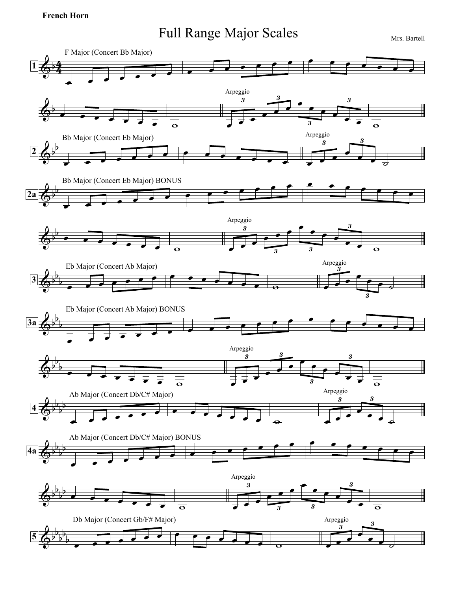## **French Horn**

## Full Range Major Scales Mrs. Bartell

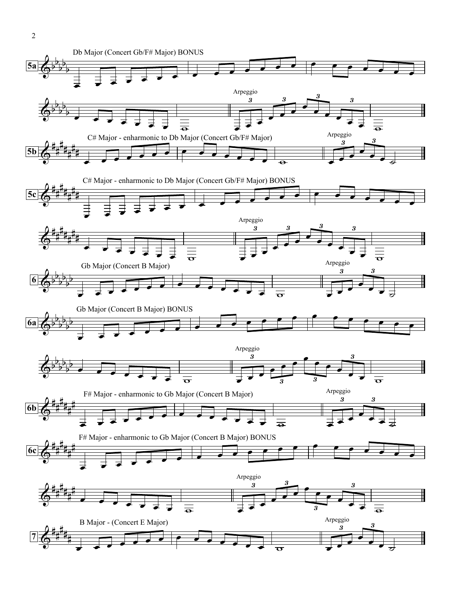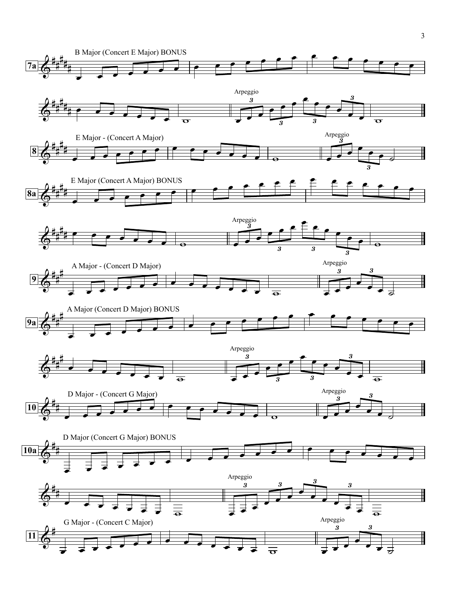